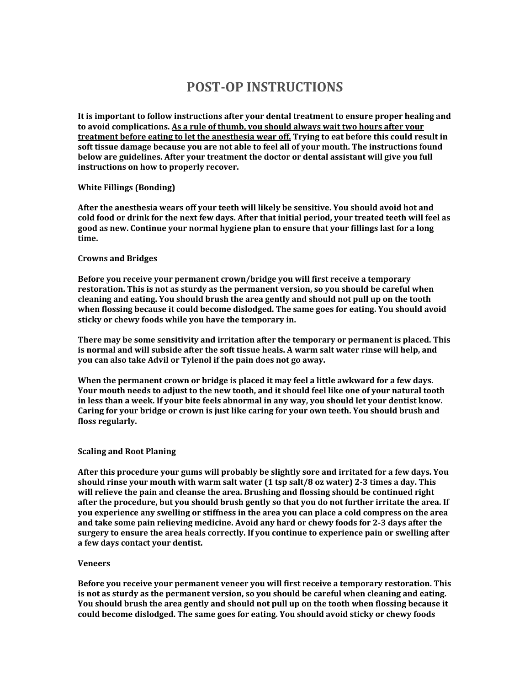# **POST-OP INSTRUCTIONS**

**It is important to follow instructions after your dental treatment to ensure proper healing and to avoid complications. As a rule of thumb, you should always wait two hours after your treatment before eating to let the anesthesia wear off. Trying to eat before this could result in soft tissue damage because you are not able to feel all of your mouth. The instructions found below are guidelines. After your treatment the doctor or dental assistant will give you full instructions on how to properly recover.**

## **White Fillings (Bonding)**

**After the anesthesia wears off your teeth will likely be sensitive. You should avoid hot and cold food or drink for the next few days. After that initial period, your treated teeth will feel as good as new. Continue your normal hygiene plan to ensure that your fillings last for a long time.** 

#### **Crowns and Bridges**

**Before you receive your permanent crown/bridge you will first receive a temporary restoration. This is not as sturdy as the permanent version, so you should be careful when cleaning and eating. You should brush the area gently and should not pull up on the tooth when flossing because it could become dislodged. The same goes for eating. You should avoid sticky or chewy foods while you have the temporary in.** 

**There may be some sensitivity and irritation after the temporary or permanent is placed. This is normal and will subside after the soft tissue heals. A warm salt water rinse will help, and you can also take Advil or Tylenol if the pain does not go away.** 

**When the permanent crown or bridge is placed it may feel a little awkward for a few days. Your mouth needs to adjust to the new tooth, and it should feel like one of your natural tooth in less than a week. If your bite feels abnormal in any way, you should let your dentist know. Caring for your bridge or crown is just like caring for your own teeth. You should brush and floss regularly.** 

#### **Scaling and Root Planing**

**After this procedure your gums will probably be slightly sore and irritated for a few days. You should rinse your mouth with warm salt water (1 tsp salt/8 oz water) 2-3 times a day. This will relieve the pain and cleanse the area. Brushing and flossing should be continued right after the procedure, but you should brush gently so that you do not further irritate the area. If you experience any swelling or stiffness in the area you can place a cold compress on the area and take some pain relieving medicine. Avoid any hard or chewy foods for 2-3 days after the surgery to ensure the area heals correctly. If you continue to experience pain or swelling after a few days contact your dentist.** 

#### **Veneers**

**Before you receive your permanent veneer you will first receive a temporary restoration. This is not as sturdy as the permanent version, so you should be careful when cleaning and eating. You should brush the area gently and should not pull up on the tooth when flossing because it could become dislodged. The same goes for eating. You should avoid sticky or chewy foods**